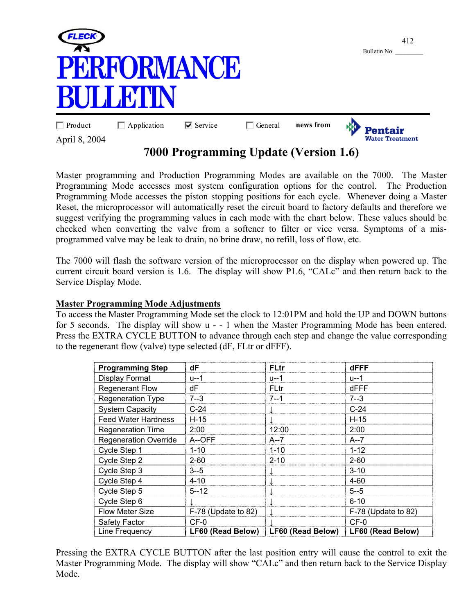

## **7000 Programming Update (Version 1.6)**

Master programming and Production Programming Modes are available on the 7000. The Master Programming Mode accesses most system configuration options for the control. The Production Programming Mode accesses the piston stopping positions for each cycle. Whenever doing a Master Reset, the microprocessor will automatically reset the circuit board to factory defaults and therefore we suggest verifying the programming values in each mode with the chart below. These values should be checked when converting the valve from a softener to filter or vice versa. Symptoms of a misprogrammed valve may be leak to drain, no brine draw, no refill, loss of flow, etc.

The 7000 will flash the software version of the microprocessor on the display when powered up. The current circuit board version is 1.6. The display will show P1.6, "CALc" and then return back to the Service Display Mode.

## **Master Programming Mode Adjustments**

To access the Master Programming Mode set the clock to 12:01PM and hold the UP and DOWN buttons for 5 seconds. The display will show u - - 1 when the Master Programming Mode has been entered. Press the EXTRA CYCLE BUTTON to advance through each step and change the value corresponding to the regenerant flow (valve) type selected (dF, FLtr or dFFF).

| <b>Programming Step</b>      | dF                    | <b>FLtr</b>       | dFFF                |
|------------------------------|-----------------------|-------------------|---------------------|
| <b>Display Format</b>        | u--1                  | u--1              | u--1                |
| <b>Regenerant Flow</b>       | dF                    | FLtr              | dFFF                |
| <b>Regeneration Type</b>     | $7 - 3$               | 7--1              | $7 - 3$             |
| <b>System Capacity</b>       | $C-24$                |                   | $C-24$              |
| <b>Feed Water Hardness</b>   | $H-15$                |                   | $H-15$              |
| <b>Regeneration Time</b>     | 2:00                  | 12:00             | 2:00                |
| <b>Regeneration Override</b> | A--OFF                | A--7              | $A - 7$             |
| Cycle Step 1                 | $1 - 10$              | $1 - 10$          | $1 - 12$            |
| Cycle Step 2                 | $2 - 60$              | $2 - 10$          | $2 - 60$            |
| Cycle Step 3                 | $3 - 5$               |                   | $3 - 10$            |
| Cycle Step 4                 | $4 - 10$              |                   | $4 - 60$            |
| Cycle Step 5                 | $5 - 12$              |                   | $5 - 5$             |
| Cycle Step 6                 |                       |                   | $6 - 10$            |
| Flow Meter Size              | $F-78$ (Update to 82) |                   | F-78 (Update to 82) |
| Safety Factor                | $CF-0$                |                   | $CF-0$              |
| Line Frequency               | LF60 (Read Below)     | LF60 (Read Below) | LF60 (Read Below)   |

Pressing the EXTRA CYCLE BUTTON after the last position entry will cause the control to exit the Master Programming Mode. The display will show "CALc" and then return back to the Service Display Mode.